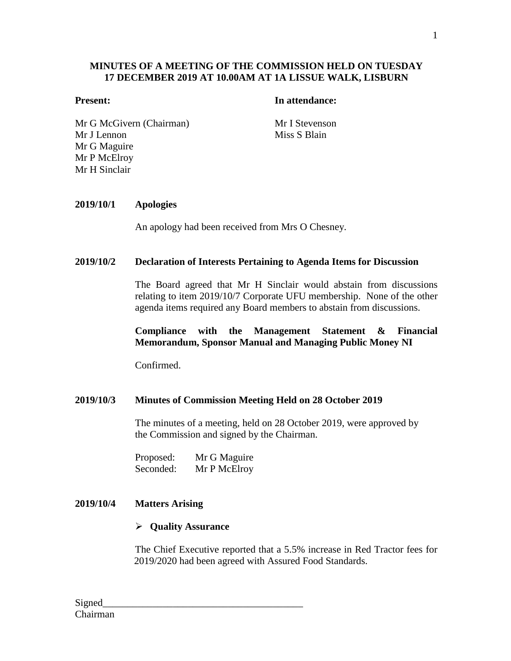## **MINUTES OF A MEETING OF THE COMMISSION HELD ON TUESDAY 17 DECEMBER 2019 AT 10.00AM AT 1A LISSUE WALK, LISBURN**

#### **Present: In attendance:**

Mr G McGivern (Chairman) Mr I Stevenson Mr J Lennon Mr G Maguire Mr P McElroy Mr H Sinclair

Miss S Blain

#### **2019/10/1 Apologies**

An apology had been received from Mrs O Chesney.

#### **2019/10/2 Declaration of Interests Pertaining to Agenda Items for Discussion**

The Board agreed that Mr H Sinclair would abstain from discussions relating to item 2019/10/7 Corporate UFU membership. None of the other agenda items required any Board members to abstain from discussions.

#### **Compliance with the Management Statement & Financial Memorandum, Sponsor Manual and Managing Public Money NI**

Confirmed.

### **2019/10/3 Minutes of Commission Meeting Held on 28 October 2019**

The minutes of a meeting, held on 28 October 2019, were approved by the Commission and signed by the Chairman.

Proposed: Mr G Maguire Seconded: Mr P McElroy

#### **2019/10/4 Matters Arising**

#### **Quality Assurance**

The Chief Executive reported that a 5.5% increase in Red Tractor fees for 2019/2020 had been agreed with Assured Food Standards.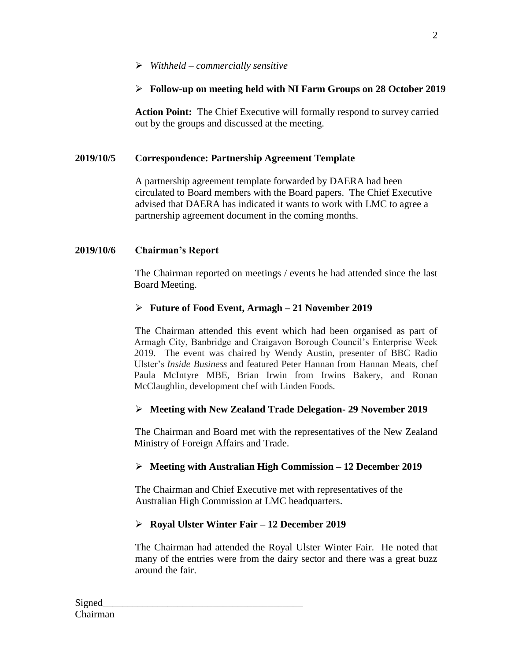# *Withheld – commercially sensitive*

# **Follow-up on meeting held with NI Farm Groups on 28 October 2019**

**Action Point:** The Chief Executive will formally respond to survey carried out by the groups and discussed at the meeting.

# **2019/10/5 Correspondence: Partnership Agreement Template**

A partnership agreement template forwarded by DAERA had been circulated to Board members with the Board papers. The Chief Executive advised that DAERA has indicated it wants to work with LMC to agree a partnership agreement document in the coming months.

## **2019/10/6 Chairman's Report**

The Chairman reported on meetings / events he had attended since the last Board Meeting.

## **Future of Food Event, Armagh – 21 November 2019**

The Chairman attended this event which had been organised as part of Armagh City, Banbridge and Craigavon Borough Council's Enterprise Week 2019. The event was chaired by Wendy Austin, presenter of BBC Radio Ulster's *Inside Business* and featured Peter Hannan from Hannan Meats, chef Paula McIntyre MBE, Brian Irwin from Irwins Bakery, and Ronan McClaughlin, development chef with Linden Foods.

# **Meeting with New Zealand Trade Delegation- 29 November 2019**

The Chairman and Board met with the representatives of the New Zealand Ministry of Foreign Affairs and Trade.

# **Meeting with Australian High Commission – 12 December 2019**

The Chairman and Chief Executive met with representatives of the Australian High Commission at LMC headquarters.

# **Royal Ulster Winter Fair – 12 December 2019**

The Chairman had attended the Royal Ulster Winter Fair. He noted that many of the entries were from the dairy sector and there was a great buzz around the fair.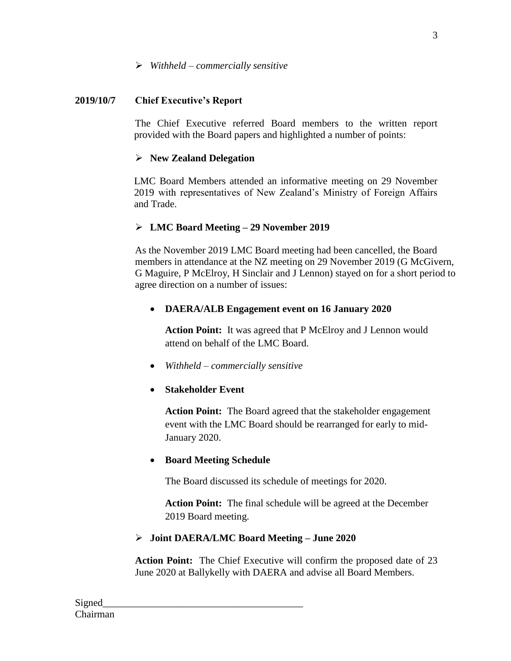# **2019/10/7 Chief Executive's Report**

The Chief Executive referred Board members to the written report provided with the Board papers and highlighted a number of points:

# **New Zealand Delegation**

LMC Board Members attended an informative meeting on 29 November 2019 with representatives of New Zealand's Ministry of Foreign Affairs and Trade.

# **LMC Board Meeting – 29 November 2019**

As the November 2019 LMC Board meeting had been cancelled, the Board members in attendance at the NZ meeting on 29 November 2019 (G McGivern, G Maguire, P McElroy, H Sinclair and J Lennon) stayed on for a short period to agree direction on a number of issues:

# **DAERA/ALB Engagement event on 16 January 2020**

**Action Point:** It was agreed that P McElroy and J Lennon would attend on behalf of the LMC Board.

- *Withheld – commercially sensitive*
- **Stakeholder Event**

**Action Point:** The Board agreed that the stakeholder engagement event with the LMC Board should be rearranged for early to mid-January 2020.

# **Board Meeting Schedule**

The Board discussed its schedule of meetings for 2020.

**Action Point:** The final schedule will be agreed at the December 2019 Board meeting.

# **Joint DAERA/LMC Board Meeting – June 2020**

**Action Point:** The Chief Executive will confirm the proposed date of 23 June 2020 at Ballykelly with DAERA and advise all Board Members.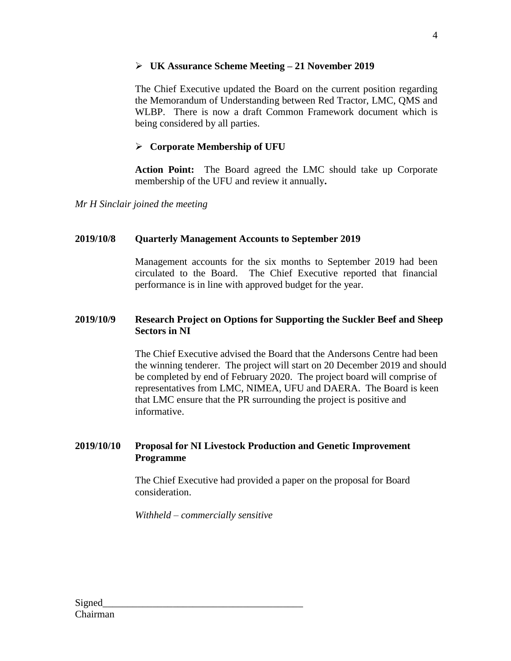# **UK Assurance Scheme Meeting – 21 November 2019**

The Chief Executive updated the Board on the current position regarding the Memorandum of Understanding between Red Tractor, LMC, QMS and WLBP. There is now a draft Common Framework document which is being considered by all parties.

# **Corporate Membership of UFU**

**Action Point:** The Board agreed the LMC should take up Corporate membership of the UFU and review it annually**.** 

*Mr H Sinclair joined the meeting*

# **2019/10/8 Quarterly Management Accounts to September 2019**

Management accounts for the six months to September 2019 had been circulated to the Board. The Chief Executive reported that financial performance is in line with approved budget for the year.

# **2019/10/9 Research Project on Options for Supporting the Suckler Beef and Sheep Sectors in NI**

The Chief Executive advised the Board that the Andersons Centre had been the winning tenderer. The project will start on 20 December 2019 and should be completed by end of February 2020. The project board will comprise of representatives from LMC, NIMEA, UFU and DAERA. The Board is keen that LMC ensure that the PR surrounding the project is positive and informative.

# **2019/10/10 Proposal for NI Livestock Production and Genetic Improvement Programme**

The Chief Executive had provided a paper on the proposal for Board consideration.

*Withheld – commercially sensitive*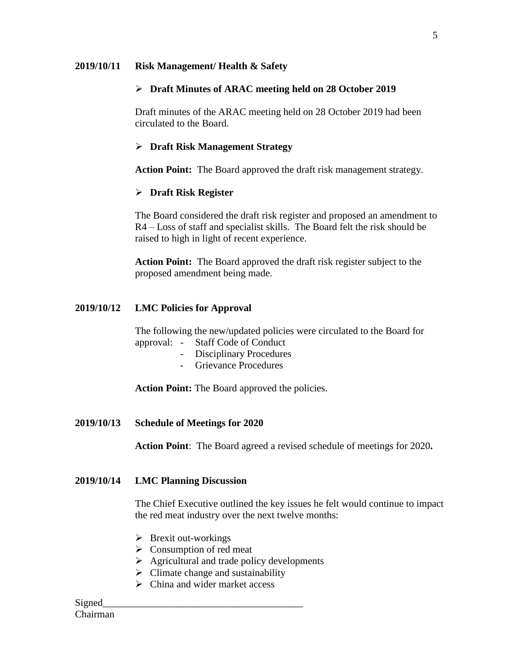#### **2019/10/11 Risk Management/ Health & Safety**

### **Draft Minutes of ARAC meeting held on 28 October 2019**

Draft minutes of the ARAC meeting held on 28 October 2019 had been circulated to the Board.

### **Draft Risk Management Strategy**

**Action Point:** The Board approved the draft risk management strategy.

#### **Draft Risk Register**

The Board considered the draft risk register and proposed an amendment to R4 – Loss of staff and specialist skills. The Board felt the risk should be raised to high in light of recent experience.

**Action Point:** The Board approved the draft risk register subject to the proposed amendment being made.

#### **2019/10/12 LMC Policies for Approval**

The following the new/updated policies were circulated to the Board for approval: - Staff Code of Conduct

- Disciplinary Procedures
- Grievance Procedures

**Action Point:** The Board approved the policies.

**2019/10/13 Schedule of Meetings for 2020**

**Action Point**: The Board agreed a revised schedule of meetings for 2020**.** 

#### **2019/10/14 LMC Planning Discussion**

The Chief Executive outlined the key issues he felt would continue to impact the red meat industry over the next twelve months:

- $\triangleright$  Brexit out-workings
- $\triangleright$  Consumption of red meat
- $\triangleright$  Agricultural and trade policy developments
- $\triangleright$  Climate change and sustainability
- $\triangleright$  China and wider market access